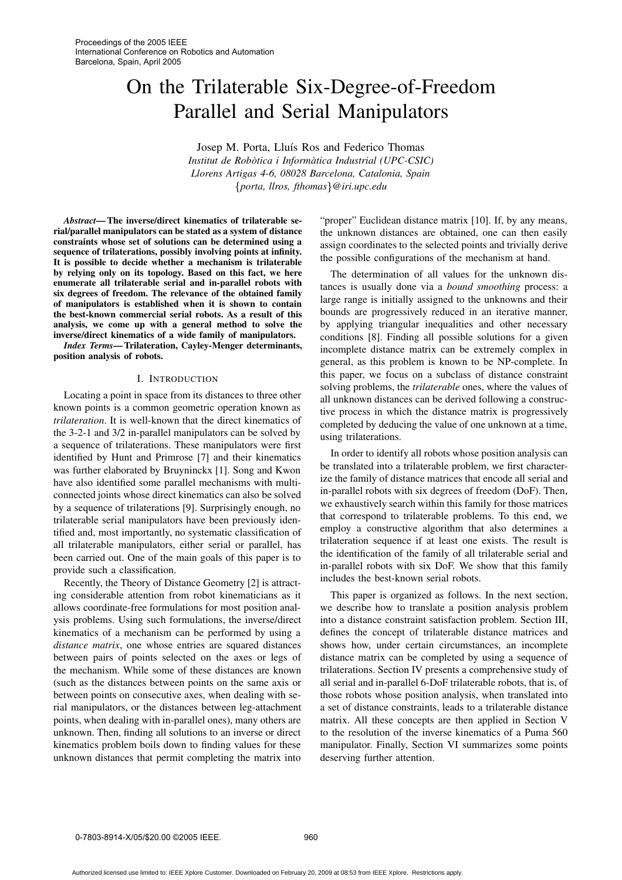# On the Trilaterable Six-Degree-of-Freedom Parallel and Serial Manipulators

Josep M. Porta, Lluís Ros and Federico Thomas *Institut de Robotica i Inform ` atica Industrial (UPC-CSIC) ` Llorens Artigas 4-6, 08028 Barcelona, Catalonia, Spain* f*porta, llros, fthomas*g*@iri.upc.edu*

*Abstract***— The inverse/direct kinematics of trilaterable serial/parallel manipulators can be stated as a system of distance constraints whose set of solutions can be determined using a sequence of trilaterations, possibly involving points at infinity. It is possible to decide whether a mechanism is trilaterable by relying only on its topology. Based on this fact, we here enumerate all trilaterable serial and in-parallel robots with six degrees of freedom. The relevance of the obtained family of manipulators is established when it is shown to contain the best-known commercial serial robots. As a result of this analysis, we come up with a general method to solve the inverse/direct kinematics of a wide family of manipulators.**

*Index Terms***— Trilateration, Cayley-Menger determinants, position analysis of robots.**

## I. INTRODUCTION

Locating a point in space from its distances to three other known points is a common geometric operation known as *trilateration*. It is well-known that the direct kinematics of the 3-2-1 and 3/2 in-parallel manipulators can be solved by a sequence of trilaterations. These manipulators were first identified by Hunt and Primrose [7] and their kinematics was further elaborated by Bruyninckx [1]. Song and Kwon have also identified some parallel mechanisms with multiconnected joints whose direct kinematics can also be solved by a sequence of trilaterations [9]. Surprisingly enough, no trilaterable serial manipulators have been previously identified and, most importantly, no systematic classification of all trilaterable manipulators, either serial or parallel, has been carried out. One of the main goals of this paper is to provide such a classification.

Recently, the Theory of Distance Geometry [2] is attracting considerable attention from robot kinematicians as it allows coordinate-free formulations for most position analysis problems. Using such formulations, the inverse/direct kinematics of a mechanism can be performed by using a *distance matrix*, one whose entries are squared distances between pairs of points selected on the axes or legs of the mechanism. While some of these distances are known (such as the distances between points on the same axis or between points on consecutive axes, when dealing with serial manipulators, or the distances between leg-attachment points, when dealing with in-parallel ones), many others are unknown. Then, finding all solutions to an inverse or direct kinematics problem boils down to finding values for these unknown distances that permit completing the matrix into

"proper" Euclidean distance matrix [10]. If, by any means, the unknown distances are obtained, one can then easily assign coordinates to the selected points and trivially derive the possible configurations of the mechanism at hand.

The determination of all values for the unknown distances is usually done via a *bound smoothing* process: a large range is initially assigned to the unknowns and their bounds are progressively reduced in an iterative manner, by applying triangular inequalities and other necessary conditions [8]. Finding all possible solutions for a given incomplete distance matrix can be extremely complex in general, as this problem is known to be NP-complete. In this paper, we focus on a subclass of distance constraint solving problems, the *trilaterable* ones, where the values of all unknown distances can be derived following a constructive process in which the distance matrix is progressively completed by deducing the value of one unknown at a time, using trilaterations.

In order to identify all robots whose position analysis can be translated into a trilaterable problem, we first characterize the family of distance matrices that encode all serial and in-parallel robots with six degrees of freedom (DoF). Then, we exhaustively search within this family for those matrices that correspond to trilaterable problems. To this end, we employ a constructive algorithm that also determines a trilateration sequence if at least one exists. The result is the identification of the family of all trilaterable serial and in-parallel robots with six DoF. We show that this family includes the best-known serial robots.

This paper is organized as follows. In the next section, we describe how to translate a position analysis problem into a distance constraint satisfaction problem. Section III, defines the concept of trilaterable distance matrices and shows how, under certain circumstances, an incomplete distance matrix can be completed by using a sequence of trilaterations. Section IV presents a comprehensive study of all serial and in-parallel 6-DoF trilaterable robots, that is, of those robots whose position analysis, when translated into a set of distance constraints, leads to a trilaterable distance matrix. All these concepts are then applied in Section V to the resolution of the inverse kinematics of a Puma 560 manipulator. Finally, Section VI summarizes some points deserving further attention.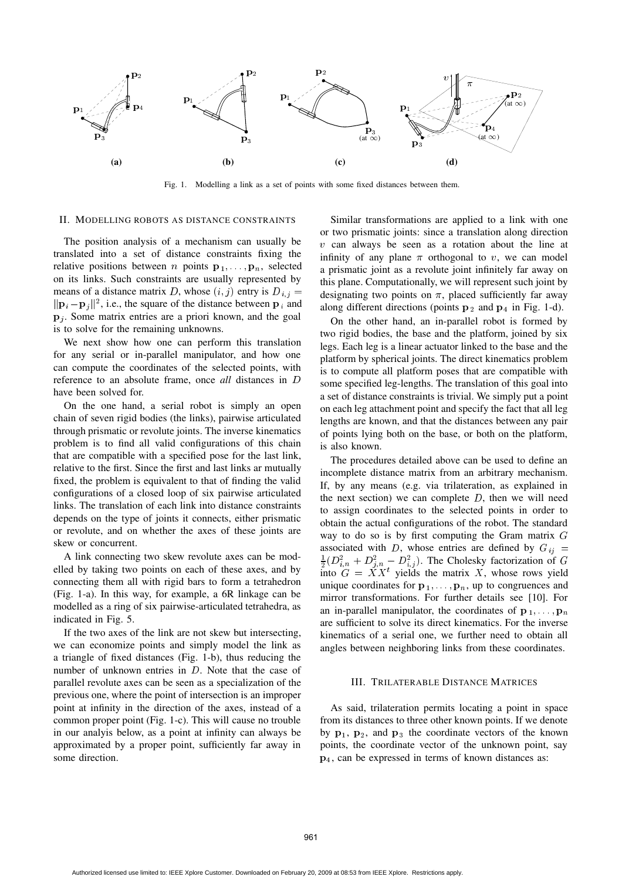

Fig. 1. Modelling a link as a set of points with some fixed distances between them.

#### II. MODELLING ROBOTS AS DISTANCE CONSTRAINTS

The position analysis of a mechanism can usually be translated into a set of distance constraints fixing the relative positions between *n* points  $\mathbf{p}_1, \ldots, \mathbf{p}_n$ , selected on its links. Such constraints are usually represented by means of a distance matrix D, whose  $(i, j)$  entry is  $D_{i,j} =$  $\|\mathbf{p}_i - \mathbf{p}_j\|^2$ , i.e., the square of the distance between  $\mathbf{p}_i$  and  $p_i$ . Some matrix entries are a priori known, and the goal is to solve for the remaining unknowns.

We next show how one can perform this translation for any serial or in-parallel manipulator, and how one can compute the coordinates of the selected points, with reference to an absolute frame, once *all* distances in D have been solved for.

On the one hand, a serial robot is simply an open chain of seven rigid bodies (the links), pairwise articulated through prismatic or revolute joints. The inverse kinematics problem is to find all valid configurations of this chain that are compatible with a specified pose for the last link, relative to the first. Since the first and last links ar mutually fixed, the problem is equivalent to that of finding the valid configurations of a closed loop of six pairwise articulated links. The translation of each link into distance constraints depends on the type of joints it connects, either prismatic or revolute, and on whether the axes of these joints are skew or concurrent.

A link connecting two skew revolute axes can be modelled by taking two points on each of these axes, and by connecting them all with rigid bars to form a tetrahedron (Fig. 1-a). In this way, for example, a 6R linkage can be modelled as a ring of six pairwise-articulated tetrahedra, as indicated in Fig. 5.

If the two axes of the link are not skew but intersecting, we can economize points and simply model the link as a triangle of fixed distances (Fig. 1-b), thus reducing the number of unknown entries in D. Note that the case of parallel revolute axes can be seen as a specialization of the previous one, where the point of intersection is an improper point at infinity in the direction of the axes, instead of a common proper point (Fig. 1-c). This will cause no trouble in our analyis below, as a point at infinity can always be approximated by a proper point, sufficiently far away in some direction.

Similar transformations are applied to a link with one or two prismatic joints: since a translation along direction  $v$  can always be seen as a rotation about the line at infinity of any plane  $\pi$  orthogonal to v, we can model a prismatic joint as a revolute joint infinitely far away on this plane. Computationally, we will represent such joint by designating two points on  $\pi$ , placed sufficiently far away along different directions (points  $p_2$  and  $p_4$  in Fig. 1-d).

On the other hand, an in-parallel robot is formed by two rigid bodies, the base and the platform, joined by six legs. Each leg is a linear actuator linked to the base and the platform by spherical joints. The direct kinematics problem is to compute all platform poses that are compatible with some specified leg-lengths. The translation of this goal into a set of distance constraints is trivial. We simply put a point on each leg attachment point and specify the fact that all leg lengths are known, and that the distances between any pair of points lying both on the base, or both on the platform, is also known.

The procedures detailed above can be used to define an incomplete distance matrix from an arbitrary mechanism. If, by any means (e.g. via trilateration, as explained in the next section) we can complete  $D$ , then we will need to assign coordinates to the selected points in order to obtain the actual configurations of the robot. The standard way to do so is by first computing the Gram matrix <sup>G</sup> associated with D, whose entries are defined by  $G_{ii}$  =  $\frac{1}{2}(D_{i,n}^2 + D_{j,n}^2 - D_{i,j}^2)$ . The Cholesky factorization of G into  $G = X X^t$  yields the matrix X, whose rows yield unique coordinates for  $\mathbf{p}_1$ ,  $\ldots$ ,  $\mathbf{p}_n$ , up to congruences and mirror transformations. For further details see [10]. For an in-parallel manipulator, the coordinates of  $\mathbf{p}_1,\ldots,\mathbf{p}_n$ are sufficient to solve its direct kinematics. For the inverse kinematics of a serial one, we further need to obtain all angles between neighboring links from these coordinates.

#### III. TRILATERABLE DISTANCE MATRICES

As said, trilateration permits locating a point in space from its distances to three other known points. If we denote by  $p_1$ ,  $p_2$ , and  $p_3$  the coordinate vectors of the known points, the coordinate vector of the unknown point, say p4, can be expressed in terms of known distances as: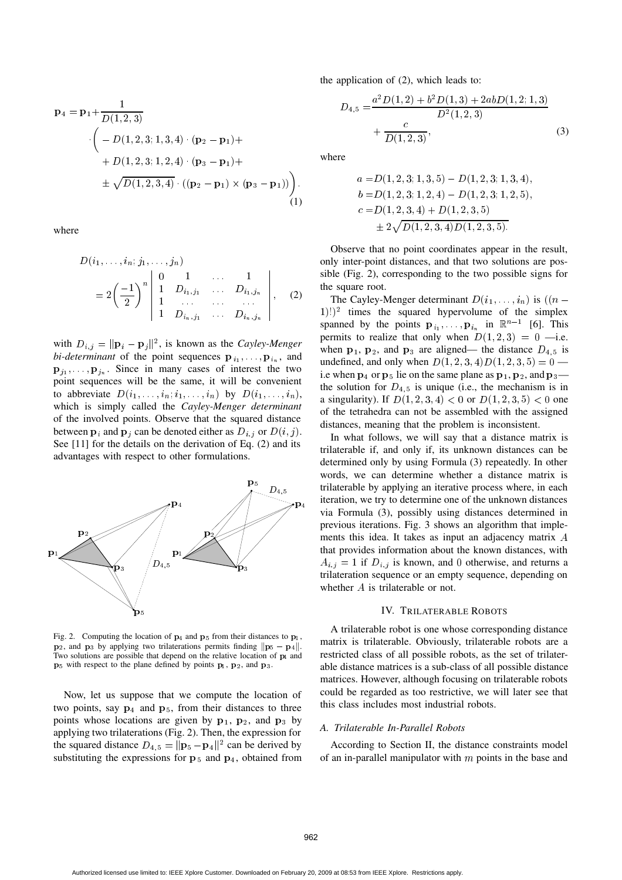$$
\mathbf{p}_4 = \mathbf{p}_1 + \frac{1}{D(1,2,3)}
$$
\n
$$
\begin{pmatrix}\nD_4 \\
D(1,2,3;1,3,4) \\
+D(1,2,3;1,2,4) \\
\end{pmatrix} \cdot (\mathbf{p}_2 - \mathbf{p}_1) +
$$
\n
$$
+ D(1,2,3;1,2,4) \cdot (\mathbf{p}_3 - \mathbf{p}_1) + \text{where}
$$
\n
$$
\pm \sqrt{D(1,2,3,4)} \cdot ((\mathbf{p}_2 - \mathbf{p}_1) \times (\mathbf{p}_3 - \mathbf{p}_1))
$$
\n(1)

where

$$
D(i_1, ..., i_n; j_1, ..., j_n)
$$
  
=  $2\left(\frac{-1}{2}\right)^n \begin{vmatrix} 0 & 1 & ... & 1 \\ 1 & D_{i_1, j_1} & ... & D_{i_1, j_n} \\ 1 & ... & ... & ... \\ 1 & D_{i_n, j_1} & ... & D_{i_n, j_n} \end{vmatrix}$ , (2)

with  $D_{i,j} = ||\mathbf{p}_i - \mathbf{p}_j||^2$ , is known as the *Cayley-Menger bi-determinant* of the point sequences  $\mathbf{p}_{i_1}, \ldots, \mathbf{p}_{i_n}$ , and  ${\bf p}_{j_1},\ldots,{\bf p}_{j_n}$ . Since in many cases of interest the two point sequences will be the same, it will be convenient to abbreviate  $D(i_1,\ldots,i_n;i_1,\ldots,i_n)$  by  $D(i_1,\ldots,i_n)$ , which is simply called the *Cayley-Menger determinant* of the involved points. Observe that the squared distance between  $p_i$  and  $p_j$  can be denoted either as  $D_{i,j}$  or  $D(i, j)$ . See [11] for the details on the derivation of Eq. (2) and its advantages with respect to other formulations.



Fig. 2. Computing the location of  $p_4$  and  $p_5$  from their distances to  $p_1$ ,  $\mathbf{p}_2$ , and  $\mathbf{p}_3$  by applying two trilaterations permits finding  $\|\mathbf{p}_5 - \mathbf{p}_4\|$ . Two solutions are possible that depend on the relative location of  $p<sub>4</sub>$  and  $\mathbf{p}_5$  with respect to the plane defined by points  $\mathbf{p}_1$ ,  $\mathbf{p}_2$ , and  $\mathbf{p}_3$ .

Now, let us suppose that we compute the location of two points, say  $\mathbf{p}_4$  and  $\mathbf{p}_5$ , from their distances to three points whose locations are given by  $p_1$ ,  $p_2$ , and  $p_3$  by applying two trilaterations (Fig. 2). Then, the expression for the squared distance  $D_{4,5} = ||\mathbf{p}_5 - \mathbf{p}_4||^2$  can be derived by substituting the expressions for  $p_5$  and  $p_4$ , obtained from the application of (2), which leads to:

$$
D_{4,5} = \frac{a^2 D(1,2) + b^2 D(1,3) + 2ab D(1,2;1,3)}{D^2(1,2,3)} + \frac{c}{D(1,2,3)},
$$
\n(3)

where

$$
a = D(1, 2, 3; 1, 3, 5) - D(1, 2, 3; 1, 3, 4),
$$
  
\n
$$
b = D(1, 2, 3; 1, 2, 4) - D(1, 2, 3; 1, 2, 5),
$$
  
\n
$$
c = D(1, 2, 3, 4) + D(1, 2, 3, 5)
$$
  
\n
$$
\pm 2\sqrt{D(1, 2, 3, 4)D(1, 2, 3, 5)}.
$$

Observe that no point coordinates appear in the result, only inter-point distances, and that two solutions are possible (Fig. 2), corresponding to the two possible signs for the square root.

The Cayley-Menger determinant  $D(i_1,...,i_n)$  is  $((n-i_1)\cdots+i_n)$  $1)$ !)<sup>2</sup> times the squared hypervolume of the simplex spanned by the points  ${\bf p}_{i_1}, \ldots, {\bf p}_{i_n}$  in  $\mathbb{R}^{n-1}$  [6]. This permits to realize that only when  $D(1, 2, 3) = 0$  —i.e. when  $p_1$ ,  $p_2$ , and  $p_3$  are aligned— the distance  $D_{4,5}$  is undefined, and only when  $D(1, 2, 3, 4)D(1, 2, 3, 5) = 0$  i.e when  $p_4$  or  $p_5$  lie on the same plane as  $p_1$ ,  $p_2$ , and  $p_3$  the solution for  $D_{4,5}$  is unique (i.e., the mechanism is in a singularity). If  $D(1, 2, 3, 4) < 0$  or  $D(1, 2, 3, 5) < 0$  one of the tetrahedra can not be assembled with the assigned distances, meaning that the problem is inconsistent.

In what follows, we will say that a distance matrix is trilaterable if, and only if, its unknown distances can be determined only by using Formula (3) repeatedly. In other words, we can determine whether a distance matrix is trilaterable by applying an iterative process where, in each iteration, we try to determine one of the unknown distances via Formula (3), possibly using distances determined in previous iterations. Fig. 3 shows an algorithm that implements this idea. It takes as input an adjacency matrix <sup>A</sup> that provides information about the known distances, with  $A_{i,j} = 1$  if  $D_{i,j}$  is known, and 0 otherwise, and returns a trilateration sequence or an empty sequence, depending on whether A is trilaterable or not.

#### IV. TRILATERABLE ROBOTS

A trilaterable robot is one whose corresponding distance matrix is trilaterable. Obviously, trilaterable robots are a restricted class of all possible robots, as the set of trilaterable distance matrices is a sub-class of all possible distance matrices. However, although focusing on trilaterable robots could be regarded as too restrictive, we will later see that this class includes most industrial robots.

### *A. Trilaterable In-Parallel Robots*

According to Section II, the distance constraints model of an in-parallel manipulator with  $m$  points in the base and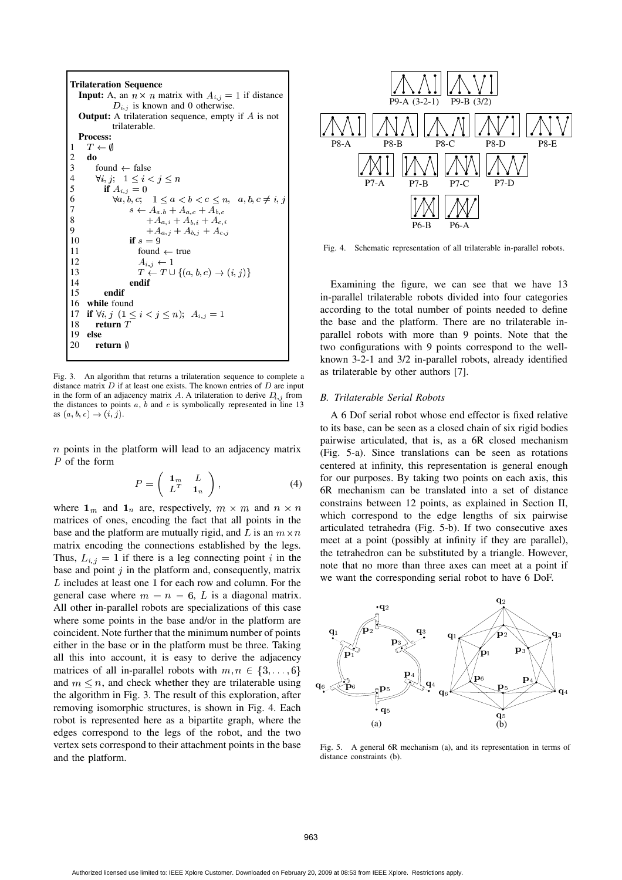

Fig. 3. An algorithm that returns a trilateration sequence to complete a distance matrix  $D$  if at least one exists. The known entries of  $D$  are input in the form of an adjacency matrix A. A trilateration to derive  $D_{i,j}$  from the distances to points  $a, b$  and  $c$  is symbolically represented in line 13 as  $(a, b, c) \rightarrow (i, j)$ .

n points in the platform will lead to an adjacency matrix P of the form

$$
P = \left(\begin{array}{cc} 1_m & L \\ L^T & 1_n \end{array}\right),\tag{4}
$$

where  $1_m$  and  $1_n$  are, respectively,  $m \times m$  and  $n \times n$ matrices of ones, encoding the fact that all points in the base and the platform are mutually rigid, and L is an  $m \times n$ matrix encoding the connections established by the legs. Thus,  $L_{i,j} = 1$  if there is a leg connecting point i in the base and point  $j$  in the platform and, consequently, matrix L includes at least one <sup>1</sup> for each row and column. For the general case where  $m = n = 6$ , L is a diagonal matrix. All other in-parallel robots are specializations of this case where some points in the base and/or in the platform are coincident. Note further that the minimum number of points either in the base or in the platform must be three. Taking all this into account, it is easy to derive the adjacency matrices of all in-parallel robots with  $m, n \in \{3, \ldots, 6\}$ and  $m \leq n$ , and check whether they are trilaterable using the algorithm in Fig. 3. The result of this exploration, after removing isomorphic structures, is shown in Fig. 4. Each robot is represented here as a bipartite graph, where the edges correspond to the legs of the robot, and the two vertex sets correspond to their attachment points in the base and the platform.



Fig. 4. Schematic representation of all trilaterable in-parallel robots.

Examining the figure, we can see that we have 13 in-parallel trilaterable robots divided into four categories according to the total number of points needed to define the base and the platform. There are no trilaterable inparallel robots with more than 9 points. Note that the two configurations with 9 points correspond to the wellknown 3-2-1 and 3/2 in-parallel robots, already identified as trilaterable by other authors [7].

### *B. Trilaterable Serial Robots*

which correspond to the edge lengths of six pairwise meet at a point (possibly at infinity if they are parallel), A 6 Dof serial robot whose end effector is fixed relative to its base, can be seen as a closed chain of six rigid bodies pairwise articulated, that is, as a 6R closed mechanism (Fig. 5-a). Since translations can be seen as rotations centered at infinity, this representation is general enough for our purposes. By taking two points on each axis, this 6R mechanism can be translated into a set of distance constrains between 12 points, as explained in Section II, articulated tetrahedra (Fig. 5-b). If two consecutive axes the tetrahedron can be substituted by a triangle. However, note that no more than three axes can meet at a point if we want the corresponding serial robot to have 6 DoF.



Fig. 5. A general 6R mechanism (a), and its representation in terms of distance constraints (b).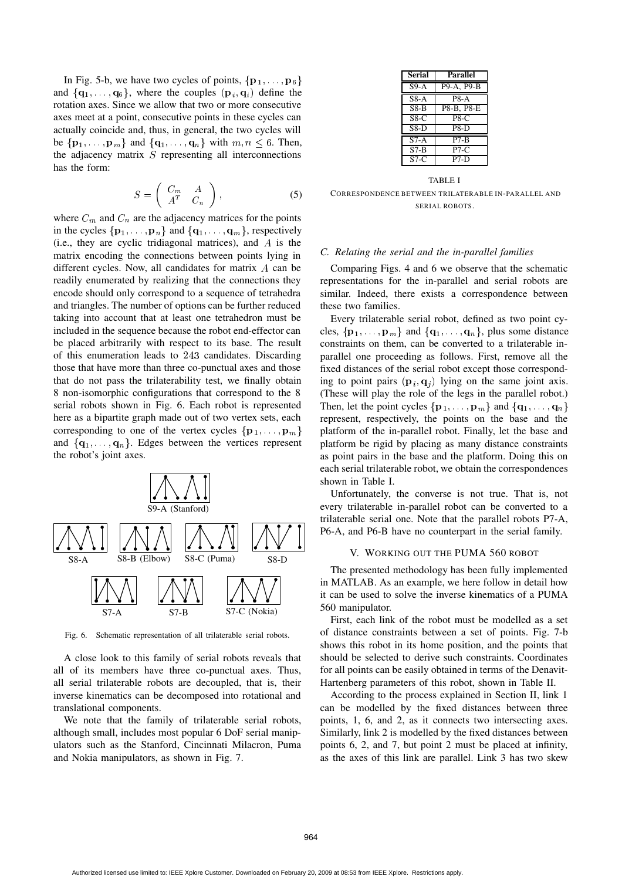In Fig. 5-b, we have two cycles of points,  $\{p_1,\ldots,p_6\}$ and  $\{q_1,\ldots,q_6\}$ , where the couples  $(p_i,q_i)$  define the rotation axes. Since we allow that two or more consecutive axes meet at a point, consecutive points in these cycles can actually coincide and, thus, in general, the two cycles will be  $\{p_1,\ldots,p_m\}$  and  $\{q_1,\ldots,q_n\}$  with  $m, n \leq 6$ . Then, the adjacency matrix  $S$  representing all interconnections has the form:

$$
S = \left(\begin{array}{cc} C_m & A \\ A^T & C_n \end{array}\right),\tag{5}
$$

where  $C_m$  and  $C_n$  are the adjacency matrices for the points in the cycles  $\{p_1,\ldots,p_n\}$  and  $\{q_1,\ldots,q_m\}$ , respectively (i.e., they are cyclic tridiagonal matrices), and <sup>A</sup> is the matrix encoding the connections between points lying in different cycles. Now, all candidates for matrix A can be readily enumerated by realizing that the connections they encode should only correspond to a sequence of tetrahedra and triangles. The number of options can be further reduced taking into account that at least one tetrahedron must be included in the sequence because the robot end-effector can be placed arbitrarily with respect to its base. The result of this enumeration leads to <sup>243</sup> candidates. Discarding those that have more than three co-punctual axes and those that do not pass the trilaterability test, we finally obtain 8 non-isomorphic configurations that correspond to the 8 serial robots shown in Fig. 6. Each robot is represented here as a bipartite graph made out of two vertex sets, each corresponding to one of the vertex cycles  $\{p_1, \ldots, p_m\}$ and  $\{q_1,\ldots,q_n\}$ . Edges between the vertices represent the robot's joint axes.



Fig. 6. Schematic representation of all trilaterable serial robots.

A close look to this family of serial robots reveals that all of its members have three co-punctual axes. Thus, all serial trilaterable robots are decoupled, that is, their inverse kinematics can be decomposed into rotational and translational components.

We note that the family of trilaterable serial robots, although small, includes most popular 6 DoF serial manipulators such as the Stanford, Cincinnati Milacron, Puma and Nokia manipulators, as shown in Fig. 7.

| Serial                   | <b>Parallel</b>    |
|--------------------------|--------------------|
| $S9-A$                   | P9-A. P9-B         |
| $S8-A$                   | $P8-A$             |
| $S8-B$                   | P8-B, P8-E         |
| $\overline{\text{S8-C}}$ | $\overline{PS}$ -C |
| $\overline{S8}$ -D       | $P8-D$             |
| $\overline{S}$ 7-A       | $\overline{P}$ 7-B |
| $S7-B$                   | $\overline{P7}$ -C |
| S7-C                     | P7-D               |

TABLE I CORRESPONDENCE BETWEEN TRILATERABLE IN-PARALLEL AND SERIAL ROBOTS.

### *C. Relating the serial and the in-parallel families*

Comparing Figs. 4 and 6 we observe that the schematic representations for the in-parallel and serial robots are similar. Indeed, there exists a correspondence between these two families.

Every trilaterable serial robot, defined as two point cycles,  $\{p_1,\ldots,p_m\}$  and  $\{q_1,\ldots,q_n\}$ , plus some distance constraints on them, can be converted to a trilaterable inparallel one proceeding as follows. First, remove all the fixed distances of the serial robot except those corresponding to point pairs  $(\mathbf{p}_i, \mathbf{q}_j)$  lying on the same joint axis. (These will play the role of the legs in the parallel robot.) Then, let the point cycles  $\{p_1,\ldots,p_m\}$  and  $\{q_1,\ldots,q_n\}$ represent, respectively, the points on the base and the platform of the in-parallel robot. Finally, let the base and platform be rigid by placing as many distance constraints as point pairs in the base and the platform. Doing this on each serial trilaterable robot, we obtain the correspondences shown in Table I.

Unfortunately, the converse is not true. That is, not every trilaterable in-parallel robot can be converted to a trilaterable serial one. Note that the parallel robots P7-A, P6-A, and P6-B have no counterpart in the serial family.

## V. WORKING OUT THE PUMA 560 ROBOT

The presented methodology has been fully implemented in MATLAB. As an example, we here follow in detail how it can be used to solve the inverse kinematics of a PUMA 560 manipulator.

First, each link of the robot must be modelled as a set of distance constraints between a set of points. Fig. 7-b shows this robot in its home position, and the points that should be selected to derive such constraints. Coordinates for all points can be easily obtained in terms of the Denavit-Hartenberg parameters of this robot, shown in Table II.

According to the process explained in Section II, link 1 can be modelled by the fixed distances between three points, 1, 6, and 2, as it connects two intersecting axes. Similarly, link 2 is modelled by the fixed distances between points 6, 2, and 7, but point 2 must be placed at infinity, as the axes of this link are parallel. Link 3 has two skew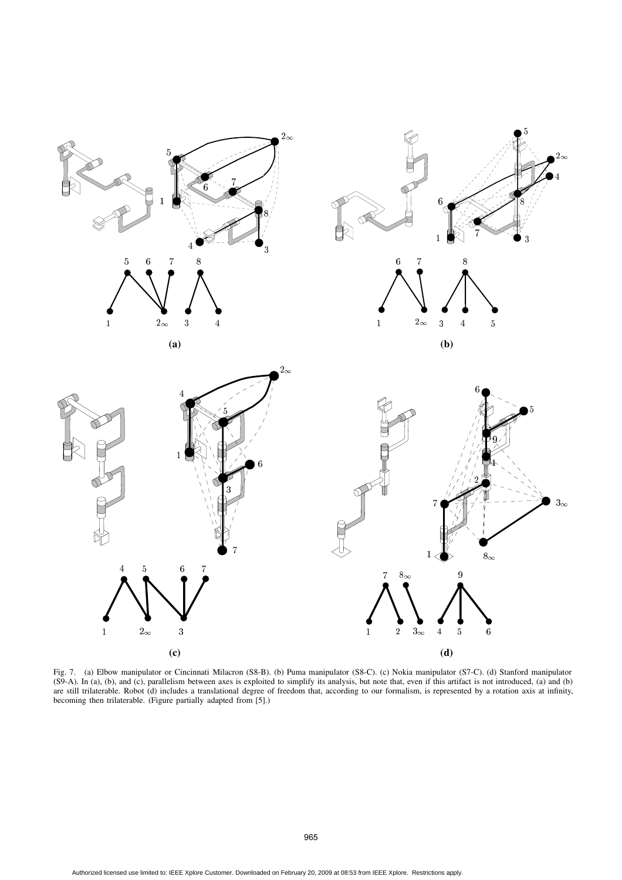

Fig. 7. (a) Elbow manipulator or Cincinnati Milacron (S8-B). (b) Puma manipulator (S8-C). (c) Nokia manipulator (S7-C). (d) Stanford manipulator (S9-A). In (a), (b), and (c), parallelism between axes is exploited to simplify its analysis, but note that, even if this artifact is not introduced, (a) and (b) are still trilaterable. Robot (d) includes a translational degree of freedom that, according to our formalism, is represented by a rotation axis at infinity, becoming then trilaterable. (Figure partially adapted from [5].)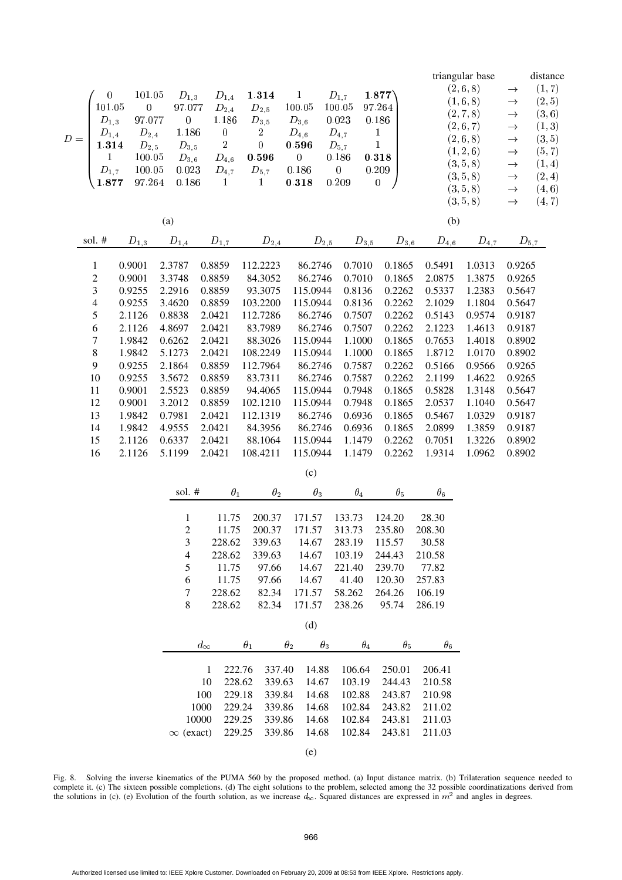|       |                       |                  |                    |                           |                           |                           |                    |                  |           | triangular base |               | distance |
|-------|-----------------------|------------------|--------------------|---------------------------|---------------------------|---------------------------|--------------------|------------------|-----------|-----------------|---------------|----------|
|       |                       |                  |                    |                           |                           |                           |                    |                  |           | (2,6,8)         | $\rightarrow$ | (1, 7)   |
|       | $\overline{0}$        | 101.05           | $D_{1,3}$          | $D_{1,4}$                 | 1.314                     | $\mathbf{1}$              | $D_{1,7}$          | 1.877            |           | (1,6,8)         | $\rightarrow$ | (2, 5)   |
|       | 101.05                | $\boldsymbol{0}$ | 97.077             | $D_{2,4}$                 | $D_{2,5}$                 | 100.05                    | 100.05             | 97.264           |           | (2, 7, 8)       | $\rightarrow$ | (3,6)    |
|       | $D_{1,3}$             | 97.077           | $\boldsymbol{0}$   | 1.186                     | $D_{3,5}$                 | $D_{3,6}$                 | 0.023              | 0.186            |           | (2, 6, 7)       | $\rightarrow$ | (1, 3)   |
| $D =$ | $D_{1,4}$             | $D_{2,4}$        | 1.186              | $\boldsymbol{0}$          | 2                         | $D_{4,6}$                 | $D_{4,7}$          | $\mathbf{1}$     |           | (2,6,8)         | $\rightarrow$ | (3, 5)   |
|       | 1.314<br>$\mathbf{1}$ | $D_{2,5}$        | $D_{3,5}$          | $\overline{2}$            | $\boldsymbol{0}$<br>0.596 | 0.596<br>$\boldsymbol{0}$ | $D_{5,7}$<br>0.186 | $\,1$            |           | (1, 2, 6)       | $\rightarrow$ | (5, 7)   |
|       |                       | 100.05<br>100.05 | $D_{3,6}$<br>0.023 | $D_{4,6}$                 |                           | 0.186                     | $\boldsymbol{0}$   | 0.318<br>0.209   |           | (3, 5, 8)       | $\rightarrow$ | (1, 4)   |
|       | $D_{1,7}$<br>1.877    | 97.264           |                    | $D_{4,7}$<br>$\mathbf{1}$ | $D_{5,7}$<br>$\mathbf{1}$ | 0.318                     | 0.209              | $\boldsymbol{0}$ |           | (3, 5, 8)       | $\rightarrow$ | (2,4)    |
|       |                       |                  | 0.186              |                           |                           |                           |                    |                  |           | (3, 5, 8)       | $\rightarrow$ | (4, 6)   |
|       |                       |                  |                    |                           |                           |                           |                    |                  |           | (3, 5, 8)       | $\rightarrow$ | (4, 7)   |
|       |                       |                  | (a)                |                           |                           |                           |                    |                  | (b)       |                 |               |          |
|       | sol. #                | $D_{1,3}$        | $D_{1,4}$          | $D_{1,7}$                 | $D_{2,4}$                 | $D_{2,5}$                 | $D_{3,5}$          | $D_{3,6}$        | $D_{4,6}$ | $D_{4,7}$       | $D_{5,7}$     |          |
|       |                       |                  |                    |                           |                           |                           |                    |                  |           |                 |               |          |
|       | 1                     | 0.9001           | 2.3787             | 0.8859                    | 112.2223                  | 86.2746                   | 0.7010             | 0.1865           | 0.5491    | 1.0313          | 0.9265        |          |
|       | $\overline{c}$        | 0.9001           | 3.3748             | 0.8859                    | 84.3052                   | 86.2746                   | 0.7010             | 0.1865           | 2.0875    | 1.3875          | 0.9265        |          |
|       | 3                     | 0.9255           | 2.2916             | 0.8859                    | 93.3075                   | 115.0944                  | 0.8136             | 0.2262           | 0.5337    | 1.2383          | 0.5647        |          |
|       | $\overline{4}$        | 0.9255           | 3.4620             | 0.8859                    | 103.2200                  | 115.0944                  | 0.8136             | 0.2262           | 2.1029    | 1.1804          | 0.5647        |          |
|       | 5                     | 2.1126           | 0.8838             | 2.0421                    | 112.7286                  | 86.2746                   | 0.7507             | 0.2262           | 0.5143    | 0.9574          | 0.9187        |          |
|       | 6                     | 2.1126           | 4.8697             | 2.0421                    | 83.7989                   | 86.2746                   | 0.7507             | 0.2262           | 2.1223    | 1.4613          | 0.9187        |          |
|       | 7                     | 1.9842           | 0.6262             | 2.0421                    | 88.3026                   | 115.0944                  | 1.1000             | 0.1865           | 0.7653    | 1.4018          | 0.8902        |          |
|       | 8                     | 1.9842           | 5.1273             | 2.0421                    | 108.2249                  | 115.0944                  | 1.1000             | 0.1865           | 1.8712    | 1.0170          | 0.8902        |          |
|       | 9                     | 0.9255           | 2.1864             | 0.8859                    | 112.7964                  | 86.2746                   | 0.7587             | 0.2262           | 0.5166    | 0.9566          | 0.9265        |          |
|       | 10                    | 0.9255           | 3.5672             | 0.8859                    | 83.7311                   | 86.2746                   | 0.7587             | 0.2262           | 2.1199    | 1.4622          | 0.9265        |          |
|       | 11                    | 0.9001           | 2.5523             | 0.8859                    | 94.4065                   | 115.0944                  | 0.7948             | 0.1865           | 0.5828    | 1.3148          | 0.5647        |          |
|       | 12                    | 0.9001           | 3.2012             | 0.8859                    | 102.1210                  | 115.0944                  | 0.7948             | 0.1865           | 2.0537    | 1.1040          | 0.5647        |          |
|       | 13                    | 1.9842           | 0.7981             | 2.0421                    | 112.1319                  | 86.2746                   | 0.6936             | 0.1865           | 0.5467    | 1.0329          | 0.9187        |          |
|       | 14                    | 1.9842           | 4.9555             | 2.0421                    | 84.3956                   | 86.2746                   | 0.6936             | 0.1865           | 2.0899    | 1.3859          | 0.9187        |          |
|       | 15                    | 2.1126           | 0.6337             | 2.0421                    | 88.1064                   | 115.0944                  | 1.1479             | 0.2262           | 0.7051    | 1.3226          | 0.8902        |          |
|       | 16                    | 2.1126           | 5.1199             | 2.0421                    | 108.4211                  | 115.0944                  | 1.1479             | 0.2262           | 1.9314    | 1.0962          | 0.8902        |          |
|       |                       |                  |                    |                           |                           |                           |                    |                  |           |                 |               |          |

| $\sim$ | ٦<br>ı<br>I |
|--------|-------------|

| sol. #                   | $\theta_1$   | $\theta_2$ | $\theta_3$               | $\theta_4$ | $\theta_5$ | $\theta_6$ |
|--------------------------|--------------|------------|--------------------------|------------|------------|------------|
|                          |              |            |                          |            |            |            |
| 1                        | 11.75        | 200.37     | 171.57                   | 133.73     | 124.20     | 28.30      |
| 2                        | 11.75        | 200.37     | 171.57                   | 313.73     | 235.80     | 208.30     |
| 3                        | 228.62       | 339.63     | 14.67                    | 283.19     | 115.57     | 30.58      |
| $\overline{\mathcal{L}}$ | 228.62       | 339.63     | 14.67                    | 103.19     | 244.43     | 210.58     |
| 5                        | 11.75        | 97.66      | 14.67                    | 221.40     | 239.70     | 77.82      |
| 6                        | 11.75        | 97.66      | 14.67                    | 41.40      | 120.30     | 257.83     |
| 7                        | 228.62       | 82.34      | 171.57                   | 58.262     | 264.26     | 106.19     |
| 8                        | 228.62       | 82.34      | 171.57                   | 238.26     | 95.74      | 286.19     |
|                          |              |            | (d)                      |            |            |            |
|                          |              |            |                          |            |            |            |
| $d_{\infty}$             |              | $\theta_1$ | $\theta_2$<br>$\theta_3$ | $\theta_4$ | $\theta_5$ | $\theta_6$ |
|                          |              |            |                          |            |            |            |
|                          | 1<br>222.76  | 337.40     | 14.88                    | 106.64     | 250.01     | 206.41     |
|                          | 10<br>228.62 | 339.63     | 14.67                    | 103.19     | 244.43     | 210.58     |
| 100                      | 229.18       | 339.84     | 14.68                    | 102.88     | 243.87     | 210.98     |
| 1000                     | 229.24       | 339.86     | 14.68                    | 102.84     | 243.82     | 211.02     |
| 10000                    | 229.25       | 339.86     | 14.68                    | 102.84     | 243.81     | 211.03     |
| (exact)<br>$\infty$      | 229.25       | 339.86     | 14.68                    | 102.84     | 243.81     | 211.03     |
|                          |              |            |                          |            |            |            |
|                          |              |            | (e)                      |            |            |            |

Fig. 8. Solving the inverse kinematics of the PUMA 560 by the proposed method. (a) Input distance matrix. (b) Trilateration sequence needed to complete it. (c) The sixteen possible completions. (d) The eight solutions to the problem, selected among the 32 possible coordinatizations derived from the solutions in (c). (e) Evolution of the fourth solution, as we increase  $d_{\infty}$ . Squared distances are expressed in  $m^2$  and angles in degrees.